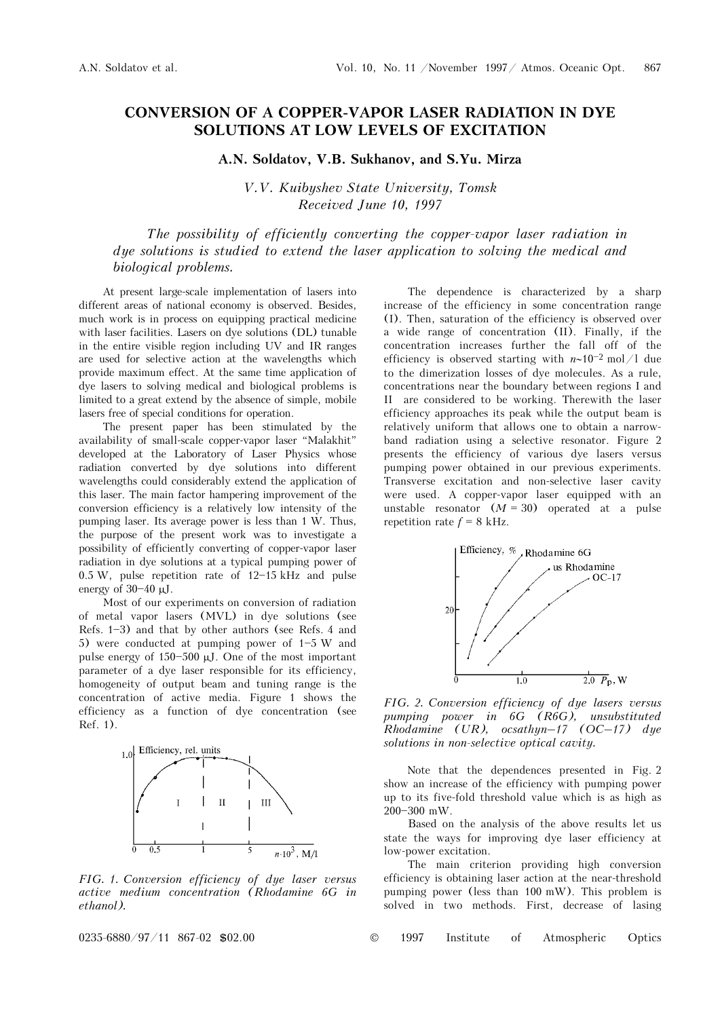## **CONVERSION OF A COPPER-VAPOR LASER RADIATION IN DYE SOLUTIONS AT LOW LEVELS OF EXCITATION**

## **A.N. Soldatov, V.B. Sukhanov, and S.Yu. Mirza**

*V.V. Kuibyshev State University, Tomsk Received June 10, 1997* 

*The possibility of efficiently converting the copper-vapor laser radiation in dye solutions is studied to extend the laser application to solving the medical and biological problems.* 

At present large-scale implementation of lasers into different areas of national economy is observed. Besides, much work is in process on equipping practical medicine with laser facilities. Lasers on dye solutions (DL) tunable in the entire visible region including UV and IR ranges are used for selective action at the wavelengths which provide maximum effect. At the same time application of dye lasers to solving medical and biological problems is limited to a great extend by the absence of simple, mobile lasers free of special conditions for operation.

The present paper has been stimulated by the availability of small-scale copper-vapor laser "Malakhit" developed at the Laboratory of Laser Physics whose radiation converted by dye solutions into different wavelengths could considerably extend the application of this laser. The main factor hampering improvement of the conversion efficiency is a relatively low intensity of the pumping laser. Its average power is less than 1 W. Thus, the purpose of the present work was to investigate a possibility of efficiently converting of copper-vapor laser radiation in dye solutions at a typical pumping power of  $0.5 W$ , pulse repetition rate of  $12-15 kHz$  and pulse energy of  $30 - 40$   $\mu$ J.

Most of our experiments on conversion of radiation of metal vapor lasers (MVL) in dye solutions (see Refs.  $1-3$ ) and that by other authors (see Refs. 4 and 5) were conducted at pumping power of  $1-5$  W and pulse energy of  $150 - 500 \mu J$ . One of the most important parameter of a dye laser responsible for its efficiency, homogeneity of output beam and tuning range is the concentration of active media. Figure 1 shows the efficiency as a function of dye concentration (see Ref. 1).



*FIG. 1. Conversion efficiency of dye laser versus active medium concentration (Rhodamine 6G in ethanol).*

The dependence is characterized by a sharp increase of the efficiency in some concentration range (I). Then, saturation of the efficiency is observed over a wide range of concentration (II). Finally, if the concentration increases further the fall off of the efficiency is observed starting with *n*∼10<sup>-2</sup> mol/l due to the dimerization losses of dye molecules. As a rule, concentrations near the boundary between regions I and II are considered to be working. Therewith the laser efficiency approaches its peak while the output beam is relatively uniform that allows one to obtain a narrowband radiation using a selective resonator. Figure 2 presents the efficiency of various dye lasers versus pumping power obtained in our previous experiments. Transverse excitation and non-selective laser cavity were used. A copper-vapor laser equipped with an unstable resonator  $(M = 30)$  operated at a pulse repetition rate  $f = 8$  kHz.



*FIG. 2. Conversion efficiency of dye lasers versus pumping power in 6G (R6G), unsubstituted Rhodamine (UR), ocsathyn–17 (OC–17) dye solutions in non-selective optical cavity.*

Note that the dependences presented in Fig. 2 show an increase of the efficiency with pumping power up to its five-fold threshold value which is as high as  $200 - 300$  mW.

Based on the analysis of the above results let us state the ways for improving dye laser efficiency at low-power excitation.

The main criterion providing high conversion efficiency is obtaining laser action at the near-threshold pumping power (less than 100 mW). This problem is solved in two methods. First, decrease of lasing